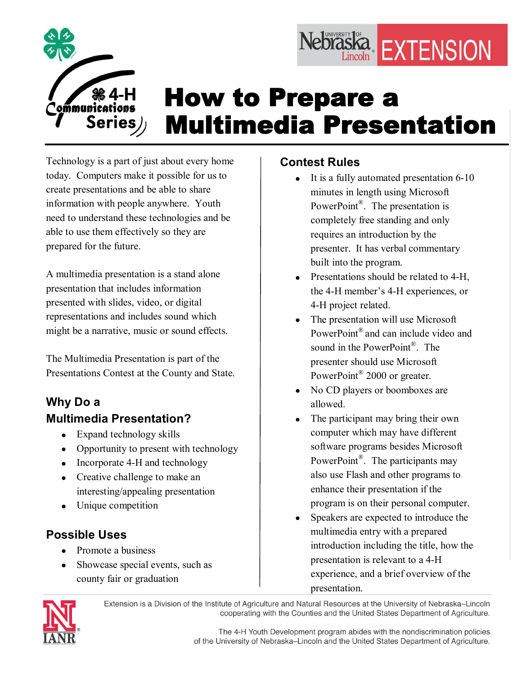

## How to Prepare a Multimedia Presentation

Technology is a part of just about every home today. Computers make it possible for us to create presentations and be able to share information with people anywhere. Youth need to understand these technologies and be able to use them effectively so they are prepared for the future.

A multimedia presentation is a stand alone presentation that includes information presented with slides, video, or digital representations and includes sound which might be a narrative, music or sound effects.

The Multimedia Presentation is part of the Presentations Contest at the County and State.

## **Why Do a Multimedia Presentation?**

- Expand technology skills
- Opportunity to present with technology
- Incorporate 4-H and technology
- Creative challenge to make an interesting/appealing presentation
- Unique competition

## **Possible Uses**

- Promote a business
- Showcase special events, such as county fair or graduation

## **Contest Rules**

It is a fully automated presentation  $6-10$ minutes in length using Microsoft PowerPoint<sup>®</sup>. The presentation is completely free standing and only requires an introduction by the presenter. It has verbal commentary built into the program.

Nebraska EXTENSION

- Presentations should be related to 4-H, the 4-H member's 4-H experiences, or 4H project related.
- The presentation will use Microsoft PowerPoint<sup>®</sup> and can include video and sound in the PowerPoint<sup>®</sup>. The presenter should use Microsoft PowerPoint<sup>®</sup> 2000 or greater.
- No CD players or boomboxes are allowed.
- The participant may bring their own computer which may have different software programs besides Microsoft PowerPoint<sup>®</sup>. The participants may also use Flash and other programs to enhance their presentation if the program is on their personal computer.
- Speakers are expected to introduce the multimedia entry with a prepared introduction including the title, how the presentation is relevant to a 4-H experience, and a brief overview of the presentation.



Extension is a Division of the Institute of Agriculture and Natural Resources at the University of Nebraska-Lincoln cooperating with the Counties and the United States Department of Agriculture.

> The 4-H Youth Development program abides with the nondiscrimination policies of the University of Nebraska-Lincoln and the United States Department of Agriculture.